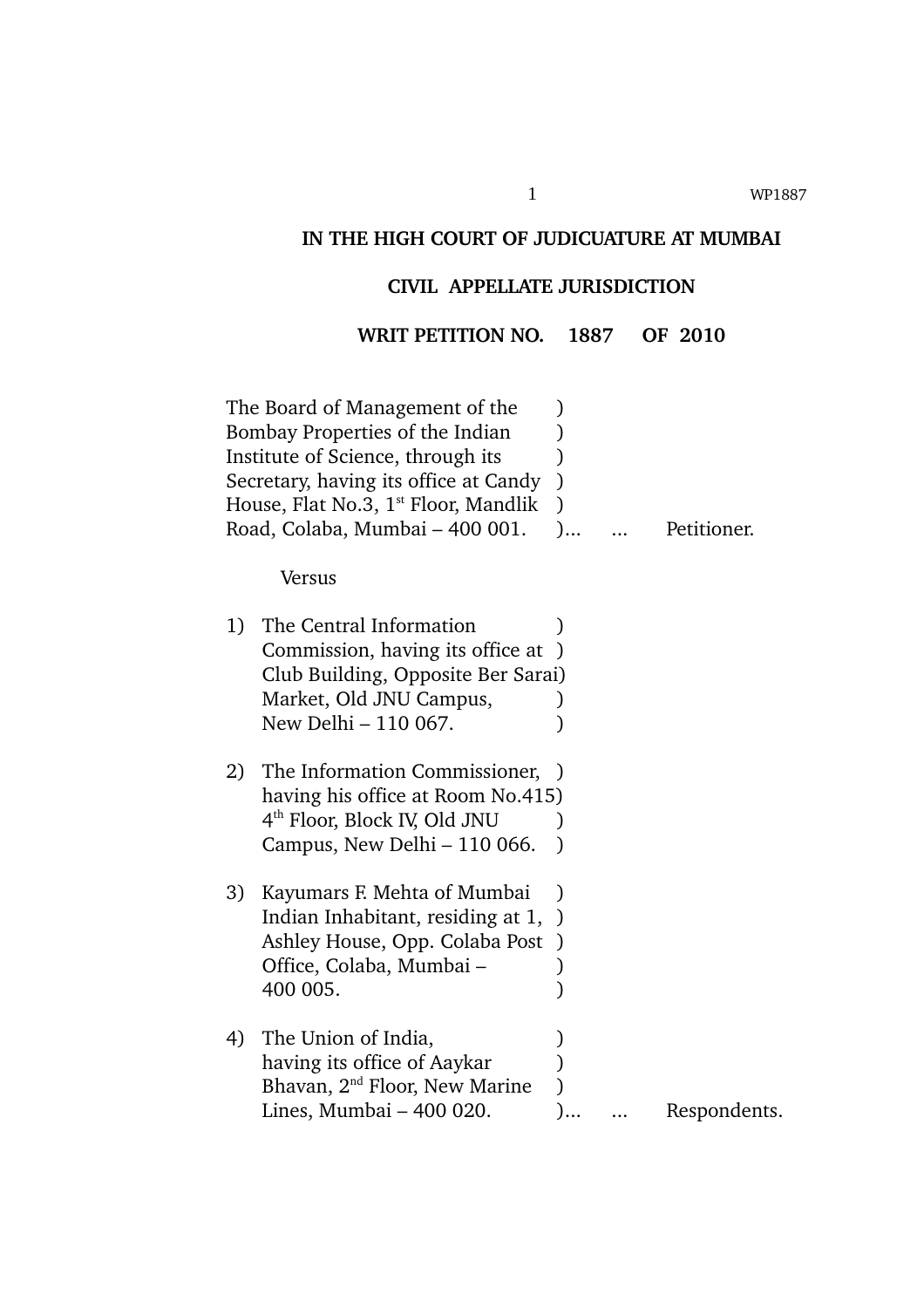# **IN THE HIGH COURT OF JUDICUATURE AT MUMBAI**

# **CIVIL APPELLATE JURISDICTION**

**WRIT PETITION NO. 1887 OF 2010**

|    | The Board of Management of the<br>Bombay Properties of the Indian<br>Institute of Science, through its<br>Secretary, having its office at Candy<br>House, Flat No.3, 1 <sup>st</sup> Floor, Mandlik | $\lambda$                  |              |
|----|-----------------------------------------------------------------------------------------------------------------------------------------------------------------------------------------------------|----------------------------|--------------|
|    | Road, Colaba, Mumbai - 400 001.                                                                                                                                                                     |                            | Petitioner.  |
|    | Versus                                                                                                                                                                                              |                            |              |
| 1) | The Central Information<br>Commission, having its office at<br>Club Building, Opposite Ber Sarai)                                                                                                   |                            |              |
|    | Market, Old JNU Campus,<br>New Delhi - 110 067.                                                                                                                                                     |                            |              |
| 2) | The Information Commissioner,<br>having his office at Room No.415)<br>4 <sup>th</sup> Floor, Block IV, Old JNU<br>Campus, New Delhi – 110 066.                                                      |                            |              |
| 3) | Kayumars F. Mehta of Mumbai<br>Indian Inhabitant, residing at 1,<br>Ashley House, Opp. Colaba Post<br>Office, Colaba, Mumbai –<br>400 005.                                                          | $\lambda$<br>$\mathcal{E}$ |              |
| 4) | The Union of India,<br>having its office of Aaykar<br>Bhavan, 2 <sup>nd</sup> Floor, New Marine<br>Lines, Mumbai - 400 020.                                                                         |                            | Respondents. |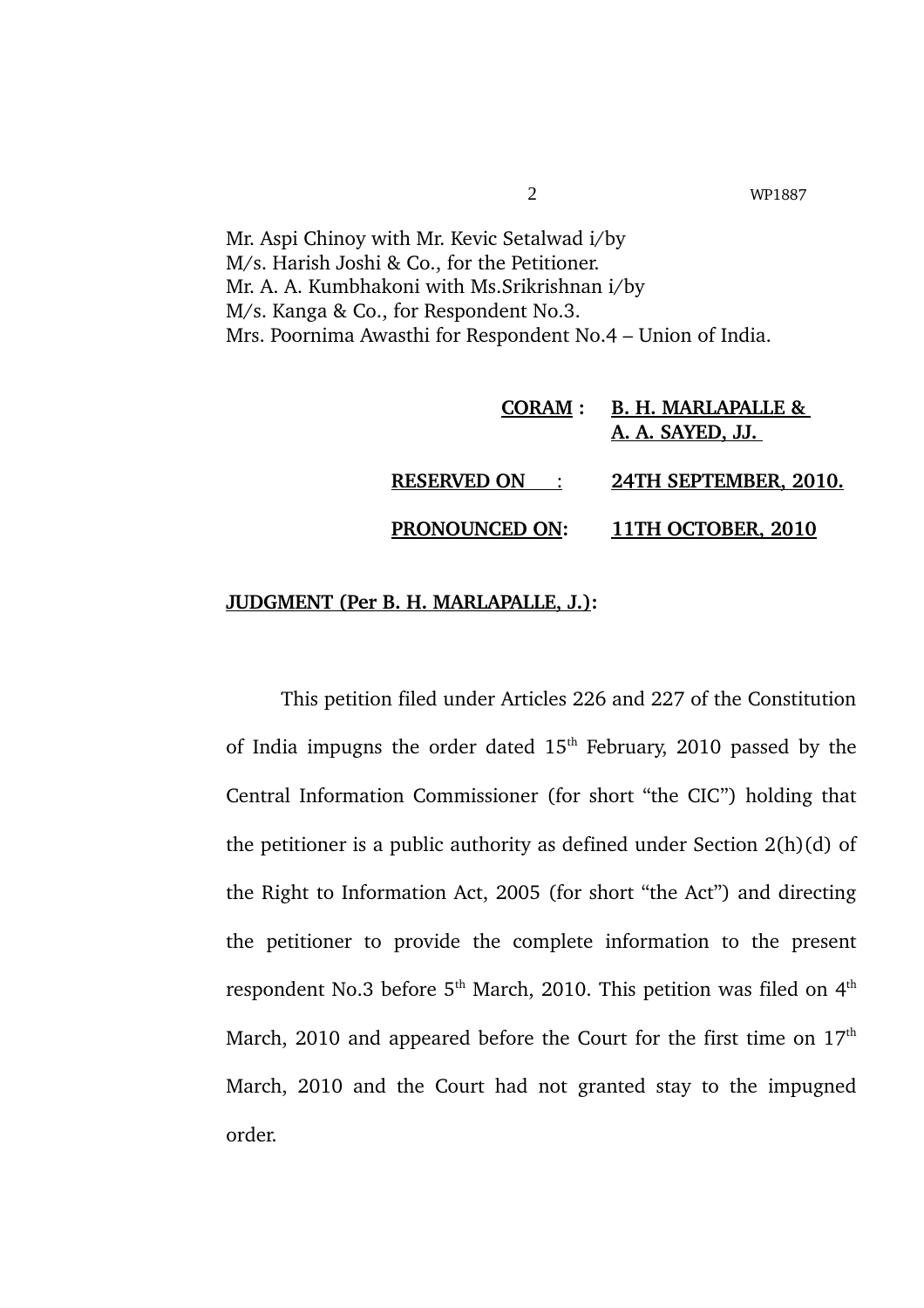Mr. Aspi Chinoy with Mr. Kevic Setalwad i/by M/s. Harish Joshi & Co., for the Petitioner. Mr. A. A. Kumbhakoni with Ms.Srikrishnan i/by M/s. Kanga & Co., for Respondent No.3. Mrs. Poornima Awasthi for Respondent No.4 – Union of India.

|                       | CORAM : B. H. MARLAPALLE &<br>A. A. SAYED, JJ. |
|-----------------------|------------------------------------------------|
| <b>RESERVED ON:</b>   | 24TH SEPTEMBER, 2010.                          |
| <b>PRONOUNCED ON:</b> | 11TH OCTOBER, 2010                             |

### **JUDGMENT (Per B. H. MARLAPALLE, J.):**

This petition filed under Articles 226 and 227 of the Constitution of India impugns the order dated  $15<sup>th</sup>$  February, 2010 passed by the Central Information Commissioner (for short "the CIC") holding that the petitioner is a public authority as defined under Section 2(h)(d) of the Right to Information Act, 2005 (for short "the Act") and directing the petitioner to provide the complete information to the present respondent No.3 before  $5<sup>th</sup>$  March, 2010. This petition was filed on  $4<sup>th</sup>$ March, 2010 and appeared before the Court for the first time on  $17<sup>th</sup>$ March, 2010 and the Court had not granted stay to the impugned order.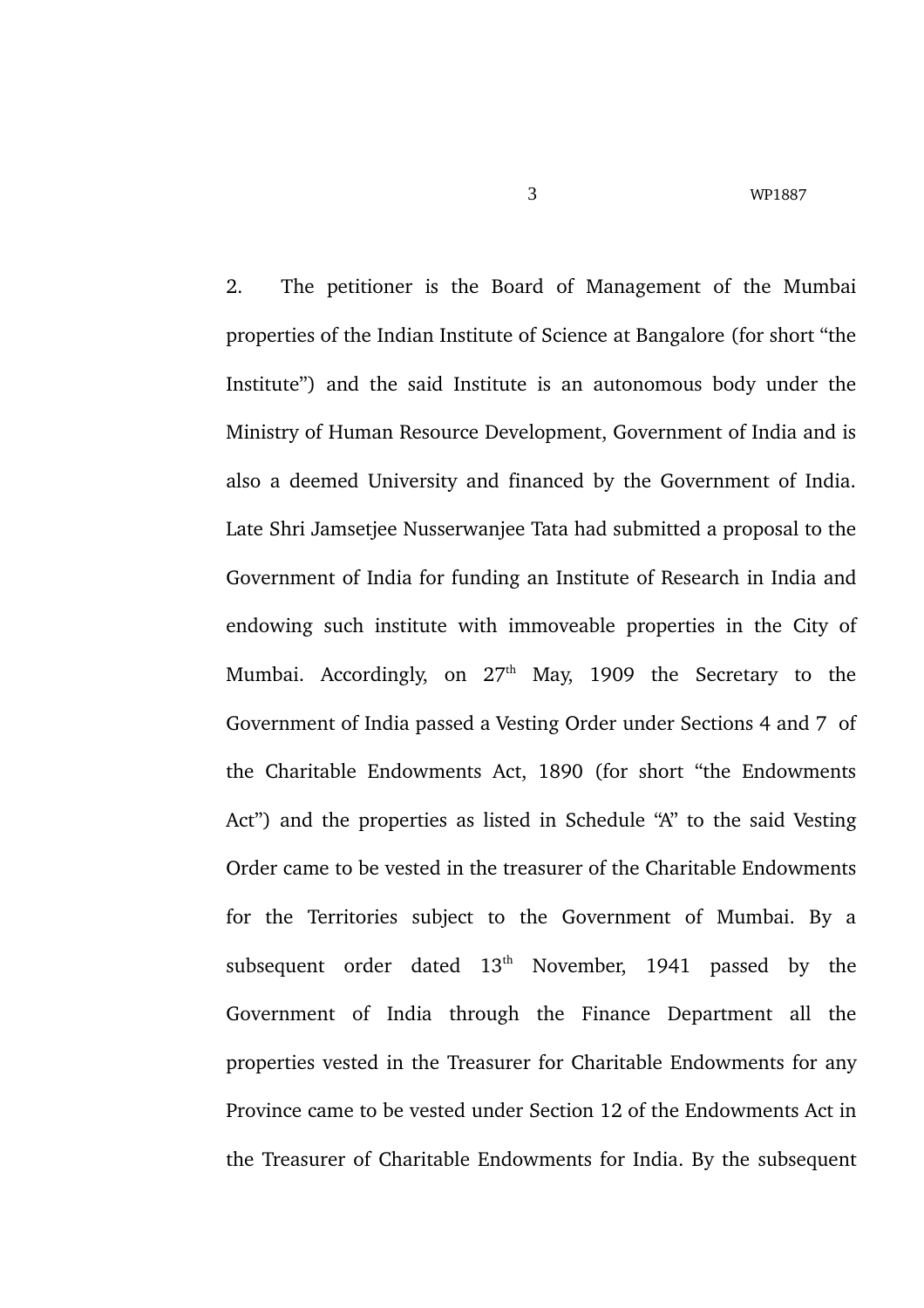2. The petitioner is the Board of Management of the Mumbai properties of the Indian Institute of Science at Bangalore (for short "the Institute") and the said Institute is an autonomous body under the Ministry of Human Resource Development, Government of India and is also a deemed University and financed by the Government of India. Late Shri Jamsetjee Nusserwanjee Tata had submitted a proposal to the Government of India for funding an Institute of Research in India and endowing such institute with immoveable properties in the City of Mumbai. Accordingly, on  $27<sup>th</sup>$  May, 1909 the Secretary to the Government of India passed a Vesting Order under Sections 4 and 7 of the Charitable Endowments Act, 1890 (for short "the Endowments Act") and the properties as listed in Schedule "A" to the said Vesting Order came to be vested in the treasurer of the Charitable Endowments for the Territories subject to the Government of Mumbai. By a subsequent order dated  $13<sup>th</sup>$  November, 1941 passed by the Government of India through the Finance Department all the properties vested in the Treasurer for Charitable Endowments for any Province came to be vested under Section 12 of the Endowments Act in the Treasurer of Charitable Endowments for India. By the subsequent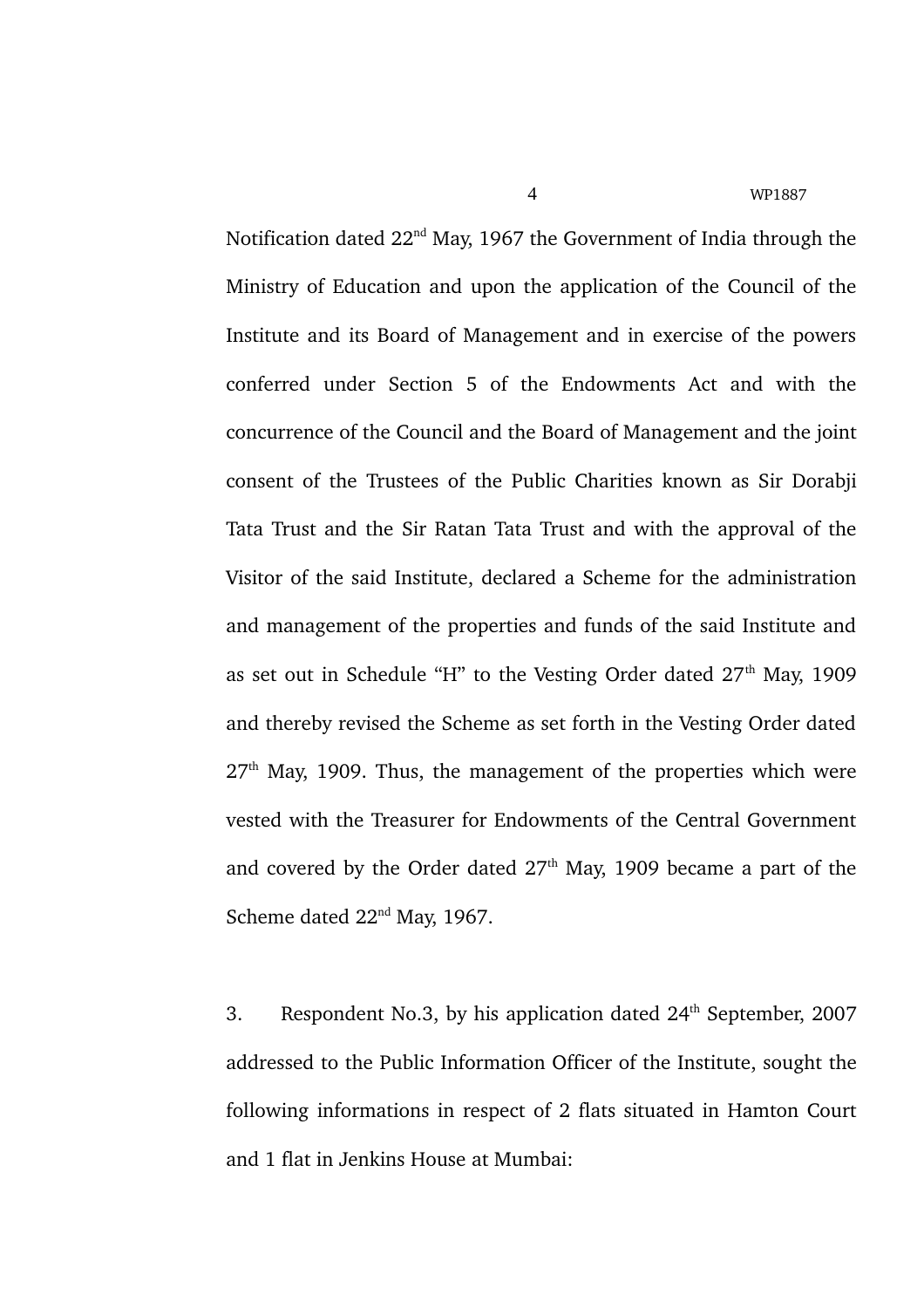Notification dated 22<sup>nd</sup> May, 1967 the Government of India through the Ministry of Education and upon the application of the Council of the Institute and its Board of Management and in exercise of the powers conferred under Section 5 of the Endowments Act and with the concurrence of the Council and the Board of Management and the joint consent of the Trustees of the Public Charities known as Sir Dorabji Tata Trust and the Sir Ratan Tata Trust and with the approval of the Visitor of the said Institute, declared a Scheme for the administration and management of the properties and funds of the said Institute and as set out in Schedule "H" to the Vesting Order dated  $27<sup>th</sup>$  May, 1909 and thereby revised the Scheme as set forth in the Vesting Order dated  $27<sup>th</sup>$  May, 1909. Thus, the management of the properties which were vested with the Treasurer for Endowments of the Central Government and covered by the Order dated  $27<sup>th</sup>$  May, 1909 became a part of the Scheme dated 22<sup>nd</sup> May, 1967.

3. Respondent No.3, by his application dated  $24<sup>th</sup>$  September, 2007 addressed to the Public Information Officer of the Institute, sought the following informations in respect of 2 flats situated in Hamton Court and 1 flat in Jenkins House at Mumbai: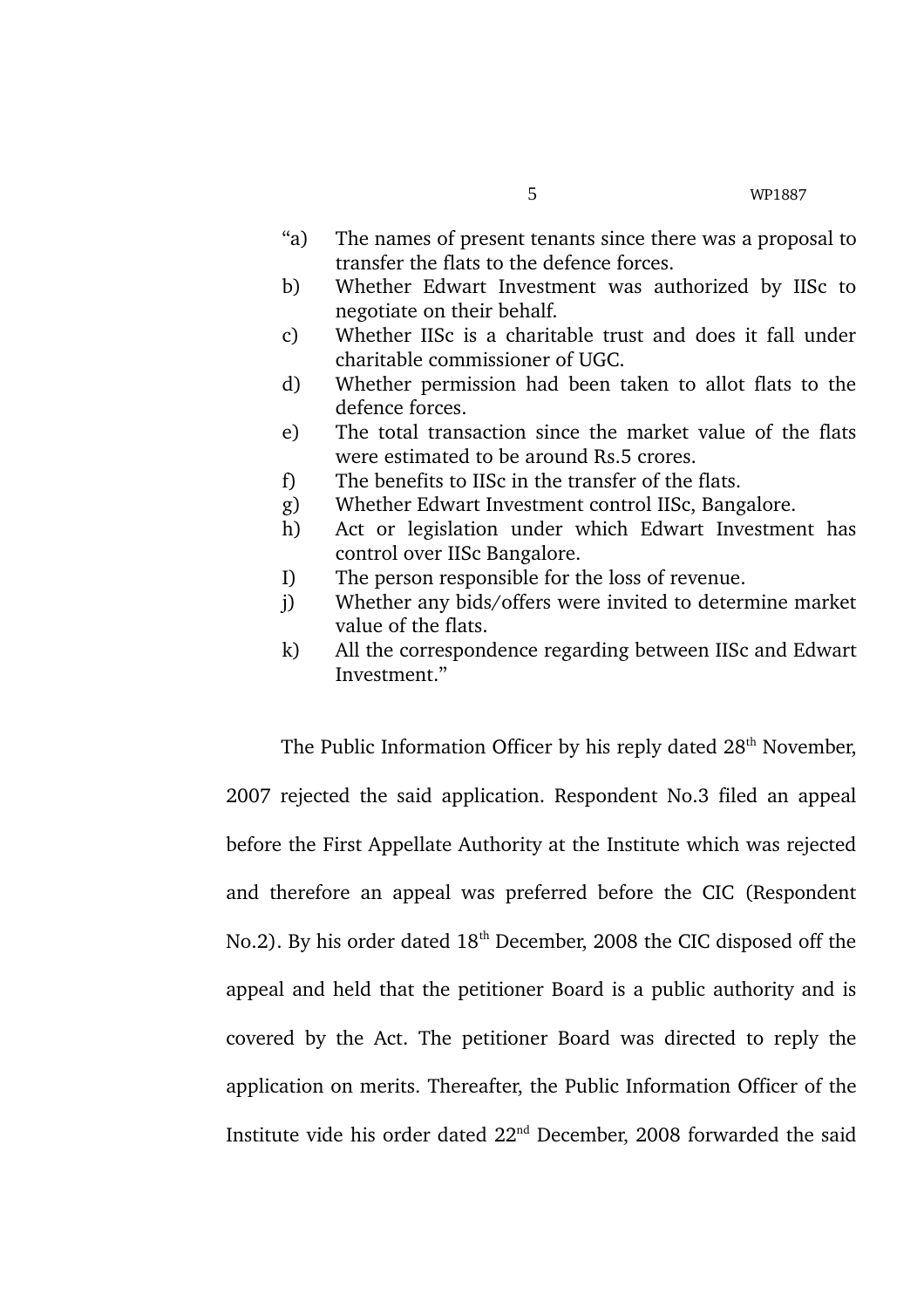- "a) The names of present tenants since there was a proposal to transfer the flats to the defence forces.
- b) Whether Edwart Investment was authorized by IISc to negotiate on their behalf.
- c) Whether IISc is a charitable trust and does it fall under charitable commissioner of UGC.
- d) Whether permission had been taken to allot flats to the defence forces.
- e) The total transaction since the market value of the flats were estimated to be around Rs.5 crores.
- f) The benefits to IISc in the transfer of the flats.
- g) Whether Edwart Investment control IISc, Bangalore.
- h) Act or legislation under which Edwart Investment has control over IISc Bangalore.
- I) The person responsible for the loss of revenue.
- j) Whether any bids/offers were invited to determine market value of the flats.
- k) All the correspondence regarding between IISc and Edwart Investment."

The Public Information Officer by his reply dated 28<sup>th</sup> November, 2007 rejected the said application. Respondent No.3 filed an appeal before the First Appellate Authority at the Institute which was rejected and therefore an appeal was preferred before the CIC (Respondent No.2). By his order dated 18<sup>th</sup> December, 2008 the CIC disposed off the appeal and held that the petitioner Board is a public authority and is covered by the Act. The petitioner Board was directed to reply the application on merits. Thereafter, the Public Information Officer of the Institute vide his order dated 22nd December, 2008 forwarded the said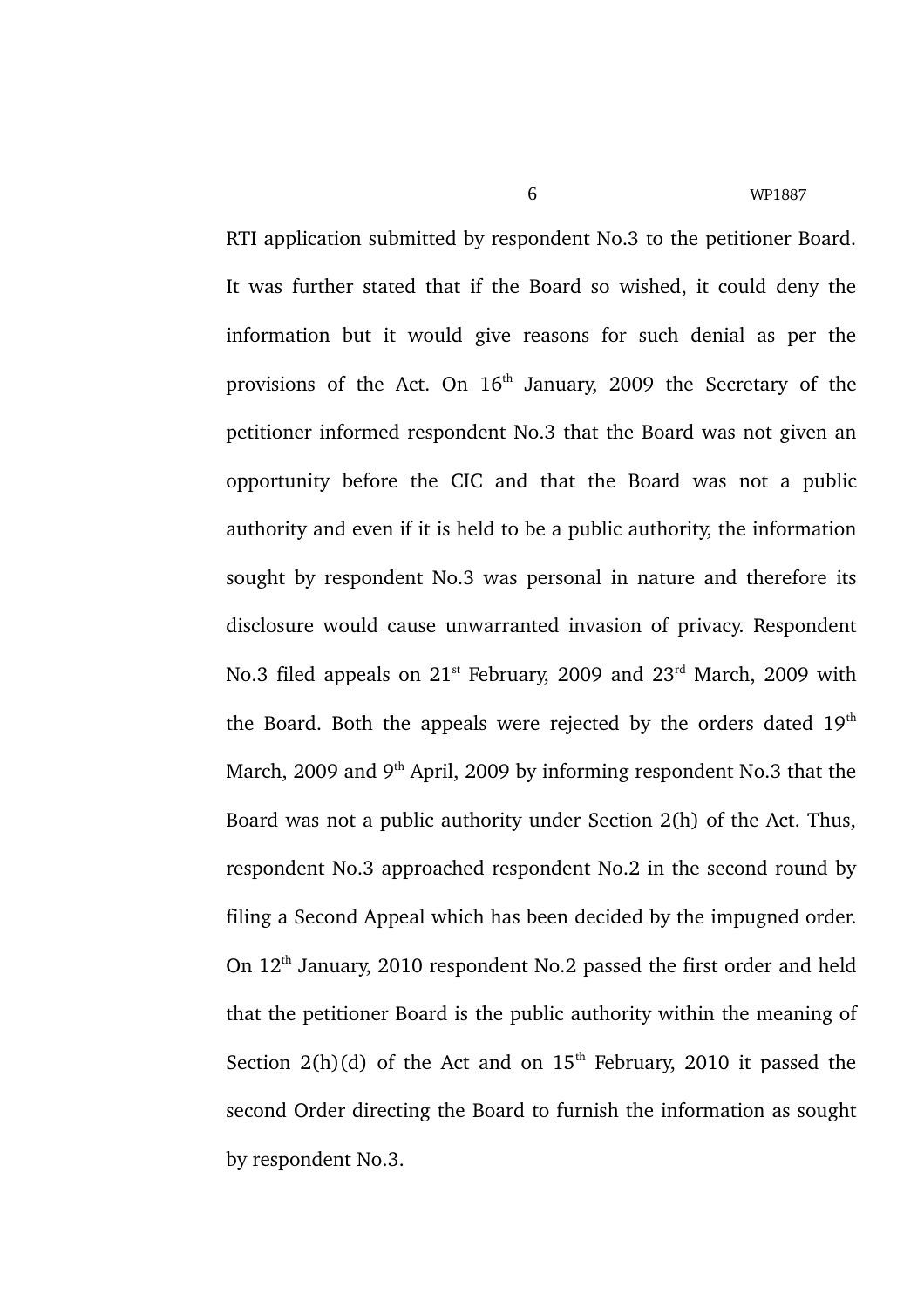RTI application submitted by respondent No.3 to the petitioner Board. It was further stated that if the Board so wished, it could deny the information but it would give reasons for such denial as per the provisions of the Act. On  $16<sup>th</sup>$  January, 2009 the Secretary of the petitioner informed respondent No.3 that the Board was not given an opportunity before the CIC and that the Board was not a public authority and even if it is held to be a public authority, the information sought by respondent No.3 was personal in nature and therefore its disclosure would cause unwarranted invasion of privacy. Respondent No.3 filed appeals on 21<sup>st</sup> February, 2009 and 23<sup>rd</sup> March, 2009 with the Board. Both the appeals were rejected by the orders dated  $19<sup>th</sup>$ March, 2009 and  $9<sup>th</sup>$  April, 2009 by informing respondent No.3 that the Board was not a public authority under Section 2(h) of the Act. Thus, respondent No.3 approached respondent No.2 in the second round by filing a Second Appeal which has been decided by the impugned order. On  $12<sup>th</sup>$  January, 2010 respondent No.2 passed the first order and held that the petitioner Board is the public authority within the meaning of Section  $2(h)(d)$  of the Act and on  $15<sup>th</sup>$  February, 2010 it passed the second Order directing the Board to furnish the information as sought by respondent No.3.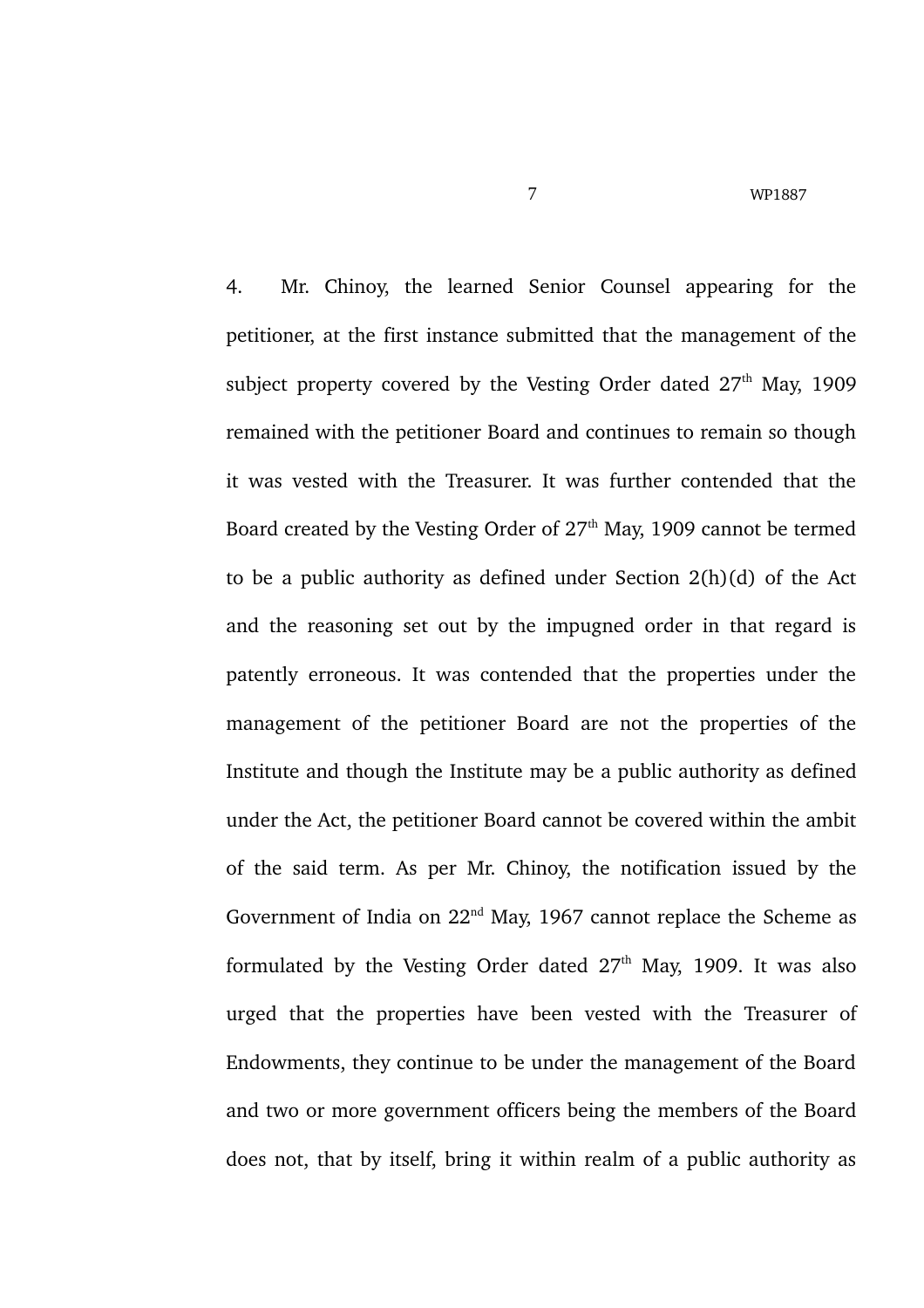4. Mr. Chinoy, the learned Senior Counsel appearing for the petitioner, at the first instance submitted that the management of the subject property covered by the Vesting Order dated  $27<sup>th</sup>$  May, 1909 remained with the petitioner Board and continues to remain so though it was vested with the Treasurer. It was further contended that the Board created by the Vesting Order of  $27<sup>th</sup>$  May, 1909 cannot be termed to be a public authority as defined under Section 2(h)(d) of the Act and the reasoning set out by the impugned order in that regard is patently erroneous. It was contended that the properties under the management of the petitioner Board are not the properties of the Institute and though the Institute may be a public authority as defined under the Act, the petitioner Board cannot be covered within the ambit of the said term. As per Mr. Chinoy, the notification issued by the Government of India on  $22<sup>nd</sup>$  May, 1967 cannot replace the Scheme as formulated by the Vesting Order dated  $27<sup>th</sup>$  May, 1909. It was also urged that the properties have been vested with the Treasurer of Endowments, they continue to be under the management of the Board and two or more government officers being the members of the Board does not, that by itself, bring it within realm of a public authority as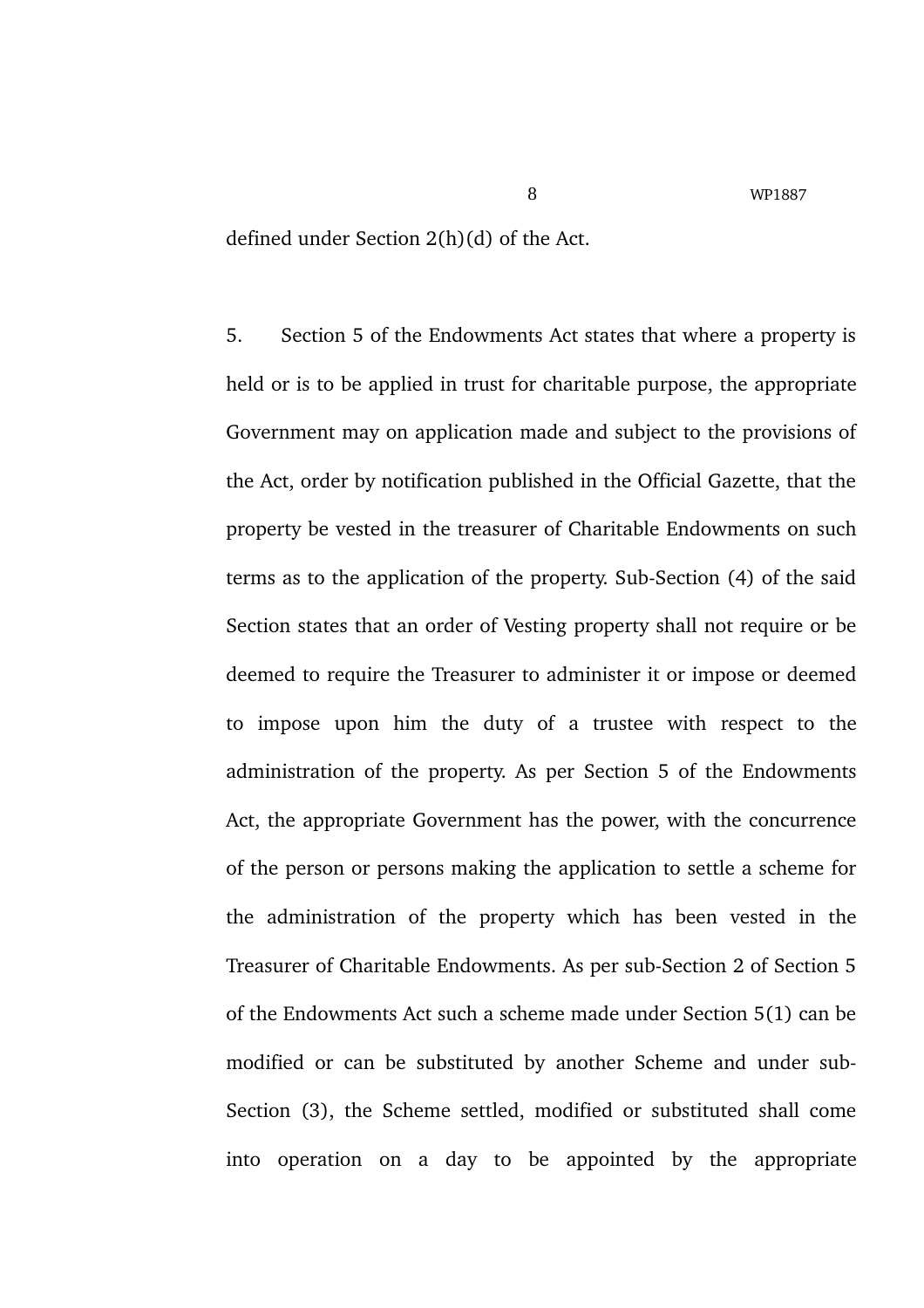defined under Section 2(h)(d) of the Act.

5. Section 5 of the Endowments Act states that where a property is held or is to be applied in trust for charitable purpose, the appropriate Government may on application made and subject to the provisions of the Act, order by notification published in the Official Gazette, that the property be vested in the treasurer of Charitable Endowments on such terms as to the application of the property. Sub-Section (4) of the said Section states that an order of Vesting property shall not require or be deemed to require the Treasurer to administer it or impose or deemed to impose upon him the duty of a trustee with respect to the administration of the property. As per Section 5 of the Endowments Act, the appropriate Government has the power, with the concurrence of the person or persons making the application to settle a scheme for the administration of the property which has been vested in the Treasurer of Charitable Endowments. As per sub-Section 2 of Section 5 of the Endowments Act such a scheme made under Section 5(1) can be modified or can be substituted by another Scheme and under sub-Section (3), the Scheme settled, modified or substituted shall come into operation on a day to be appointed by the appropriate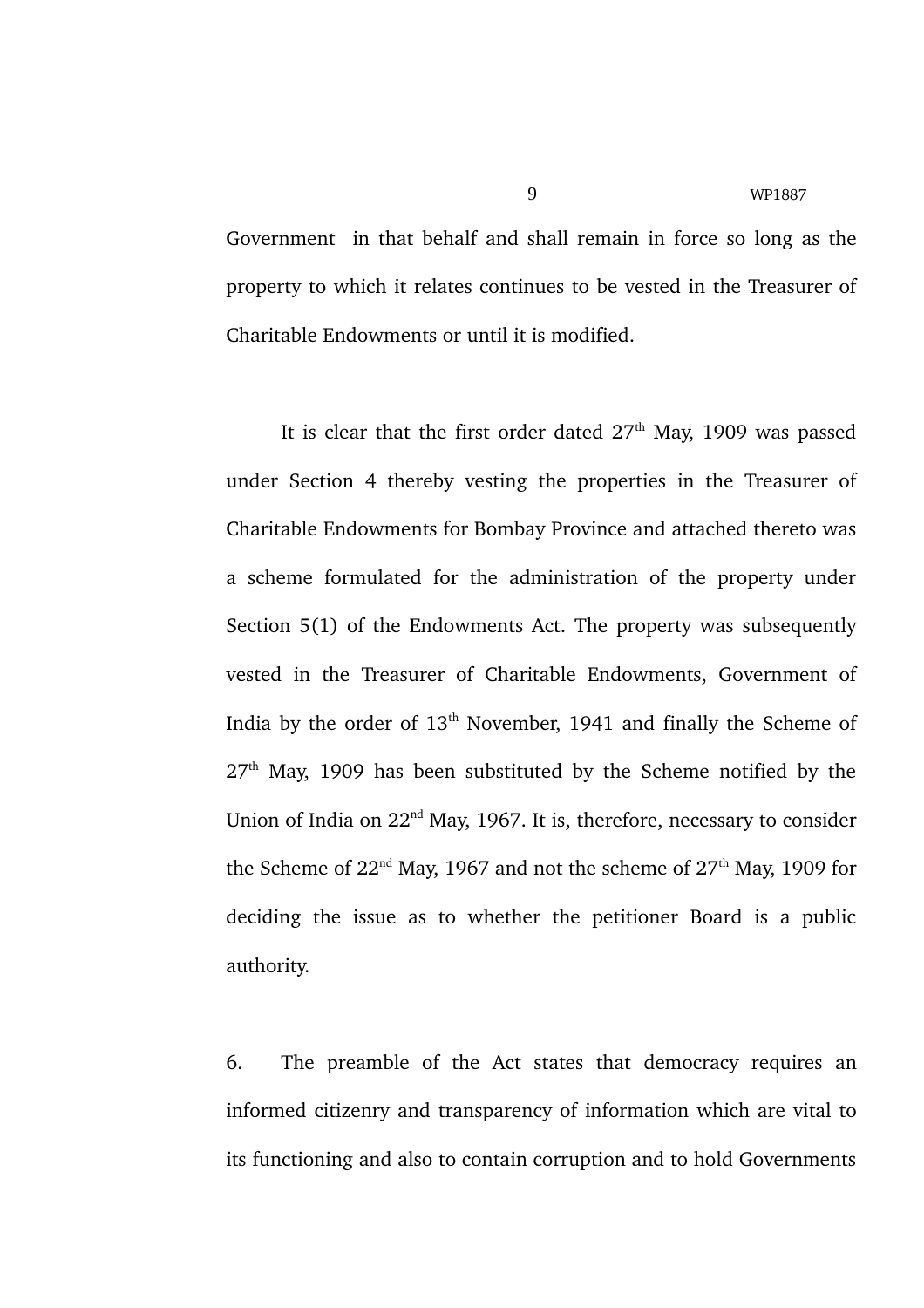Government in that behalf and shall remain in force so long as the property to which it relates continues to be vested in the Treasurer of Charitable Endowments or until it is modified.

It is clear that the first order dated  $27<sup>th</sup>$  May, 1909 was passed under Section 4 thereby vesting the properties in the Treasurer of Charitable Endowments for Bombay Province and attached thereto was a scheme formulated for the administration of the property under Section 5(1) of the Endowments Act. The property was subsequently vested in the Treasurer of Charitable Endowments, Government of India by the order of 13<sup>th</sup> November, 1941 and finally the Scheme of  $27<sup>th</sup>$  May, 1909 has been substituted by the Scheme notified by the Union of India on  $22<sup>nd</sup>$  May, 1967. It is, therefore, necessary to consider the Scheme of  $22<sup>nd</sup>$  May, 1967 and not the scheme of  $27<sup>th</sup>$  May, 1909 for deciding the issue as to whether the petitioner Board is a public authority.

6. The preamble of the Act states that democracy requires an informed citizenry and transparency of information which are vital to its functioning and also to contain corruption and to hold Governments

9 WP1887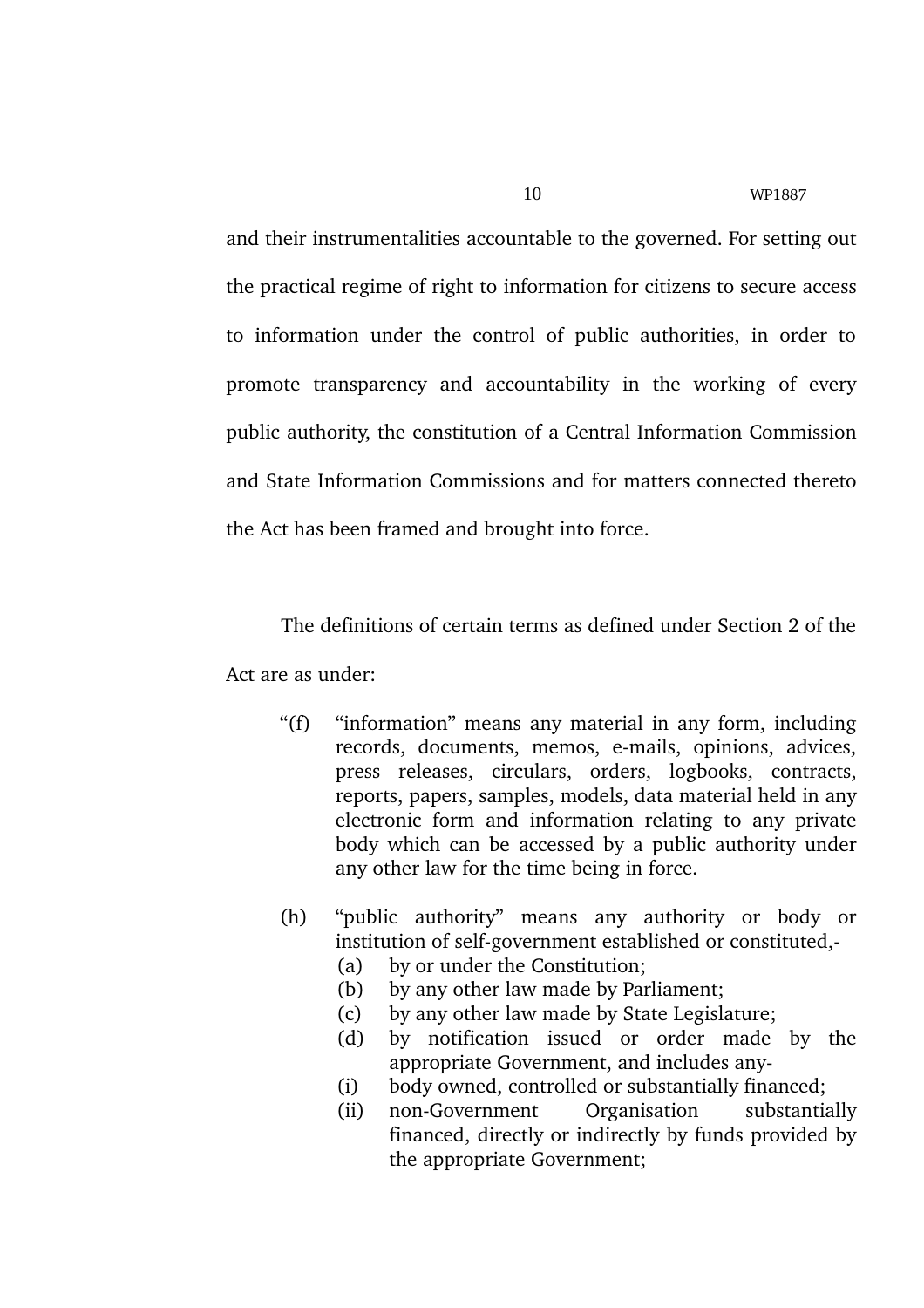and their instrumentalities accountable to the governed. For setting out the practical regime of right to information for citizens to secure access to information under the control of public authorities, in order to promote transparency and accountability in the working of every public authority, the constitution of a Central Information Commission and State Information Commissions and for matters connected thereto the Act has been framed and brought into force.

The definitions of certain terms as defined under Section 2 of the Act are as under:

- "(f) "information" means any material in any form, including records, documents, memos, e-mails, opinions, advices, press releases, circulars, orders, logbooks, contracts, reports, papers, samples, models, data material held in any electronic form and information relating to any private body which can be accessed by a public authority under any other law for the time being in force.
- (h) "public authority" means any authority or body or institution of self-government established or constituted,-
	- (a) by or under the Constitution;
	- (b) by any other law made by Parliament;
	- (c) by any other law made by State Legislature;
	- (d) by notification issued or order made by the appropriate Government, and includes any
	- (i) body owned, controlled or substantially financed;
	- (ii) non-Government Organisation substantially financed, directly or indirectly by funds provided by the appropriate Government;

10 WP1887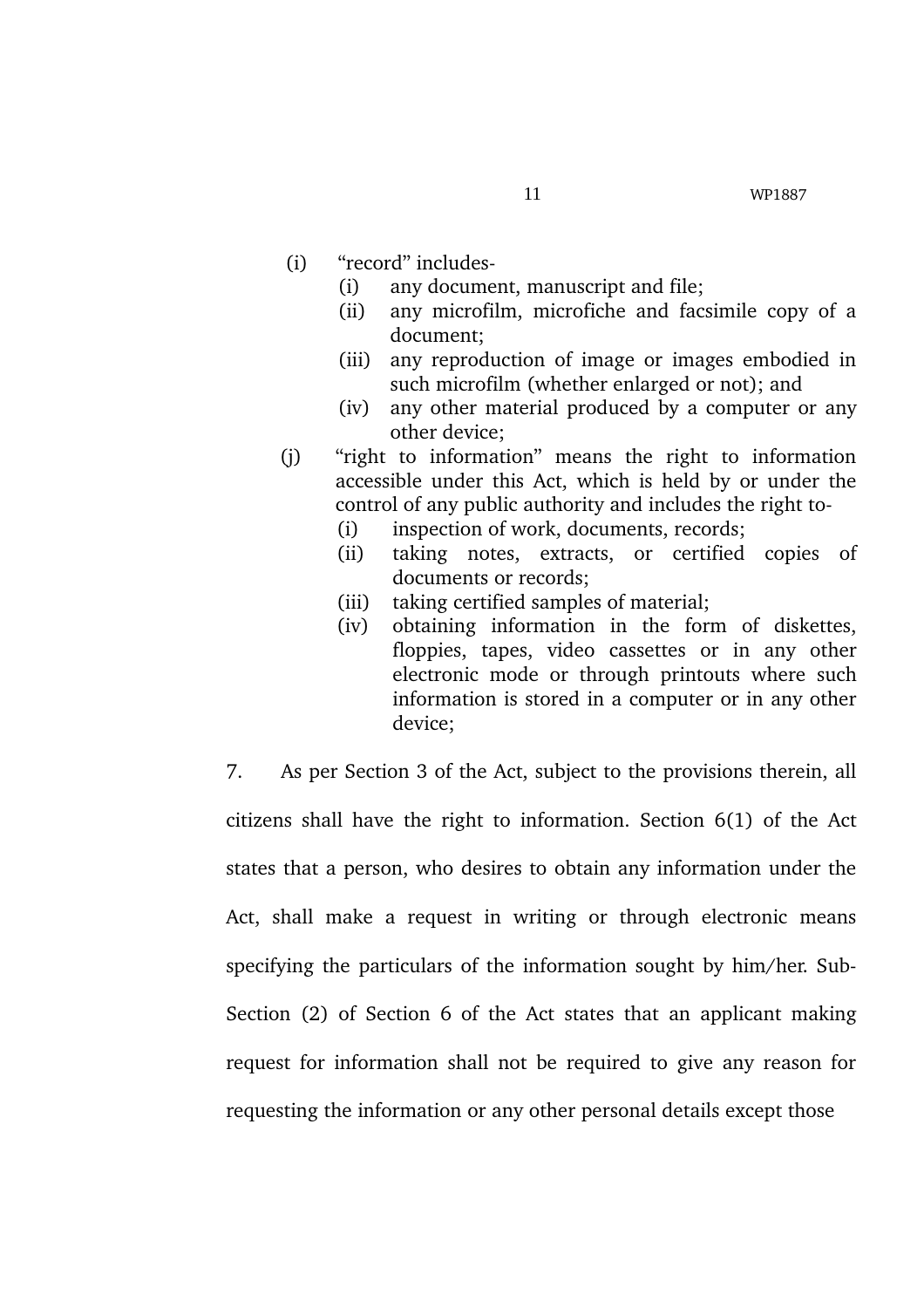- (i) "record" includes
	- (i) any document, manuscript and file;
	- (ii) any microfilm, microfiche and facsimile copy of a document;
	- (iii) any reproduction of image or images embodied in such microfilm (whether enlarged or not); and
	- (iv) any other material produced by a computer or any other device;
- (i) "right to information" means the right to information accessible under this Act, which is held by or under the control of any public authority and includes the right to
	- (i) inspection of work, documents, records;
	- (ii) taking notes, extracts, or certified copies of documents or records;
	- (iii) taking certified samples of material;
	- (iv) obtaining information in the form of diskettes, floppies, tapes, video cassettes or in any other electronic mode or through printouts where such information is stored in a computer or in any other device;

7. As per Section 3 of the Act, subject to the provisions therein, all citizens shall have the right to information. Section 6(1) of the Act states that a person, who desires to obtain any information under the Act, shall make a request in writing or through electronic means specifying the particulars of the information sought by him/her. Sub-Section (2) of Section 6 of the Act states that an applicant making request for information shall not be required to give any reason for requesting the information or any other personal details except those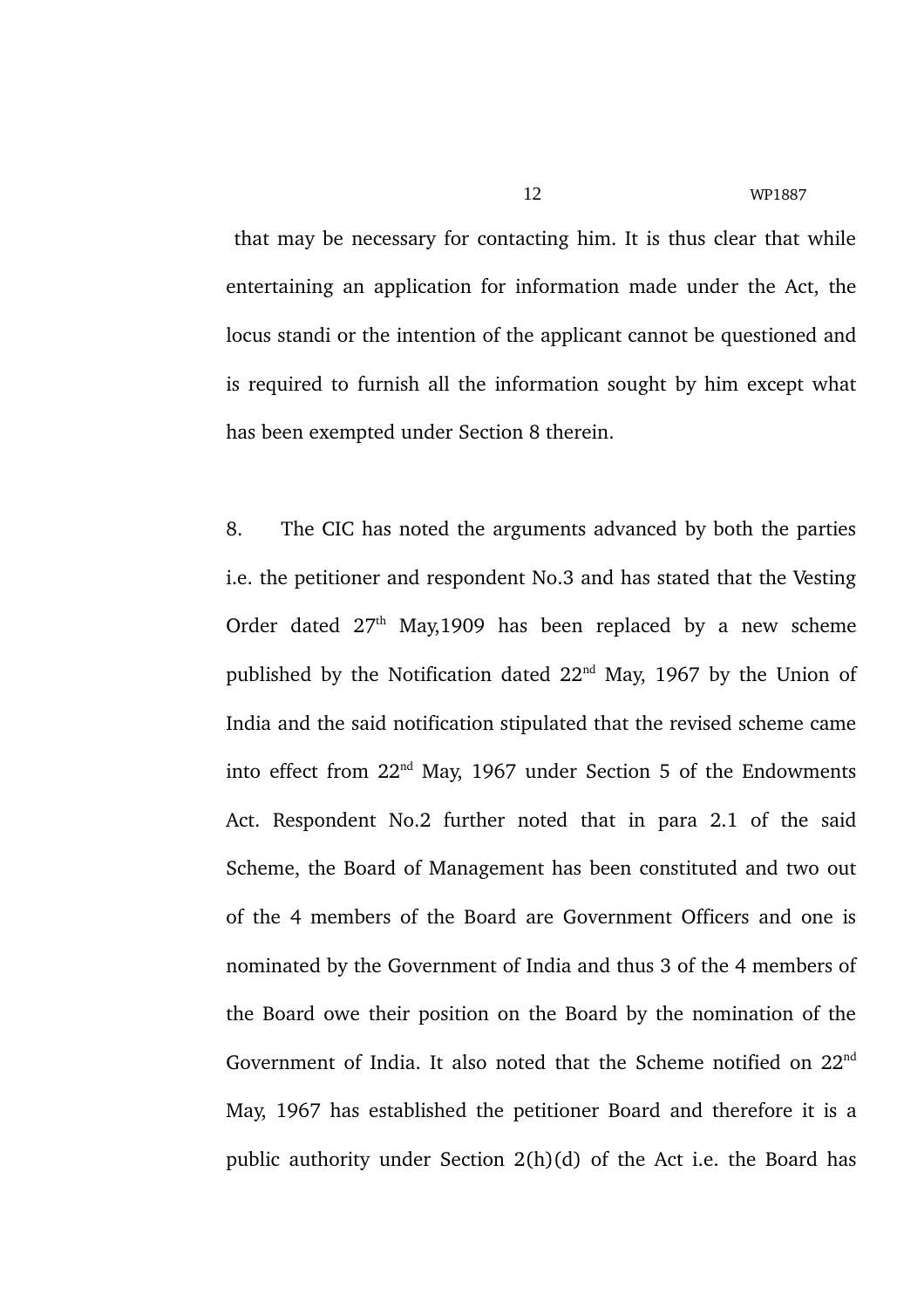that may be necessary for contacting him. It is thus clear that while entertaining an application for information made under the Act, the locus standi or the intention of the applicant cannot be questioned and is required to furnish all the information sought by him except what

8. The CIC has noted the arguments advanced by both the parties i.e. the petitioner and respondent No.3 and has stated that the Vesting Order dated  $27<sup>th</sup>$  May, 1909 has been replaced by a new scheme published by the Notification dated  $22<sup>nd</sup>$  May, 1967 by the Union of India and the said notification stipulated that the revised scheme came into effect from 22<sup>nd</sup> May, 1967 under Section 5 of the Endowments Act. Respondent No.2 further noted that in para 2.1 of the said Scheme, the Board of Management has been constituted and two out of the 4 members of the Board are Government Officers and one is nominated by the Government of India and thus 3 of the 4 members of the Board owe their position on the Board by the nomination of the Government of India. It also noted that the Scheme notified on 22nd May, 1967 has established the petitioner Board and therefore it is a public authority under Section 2(h)(d) of the Act i.e. the Board has

has been exempted under Section 8 therein.

12 WP1887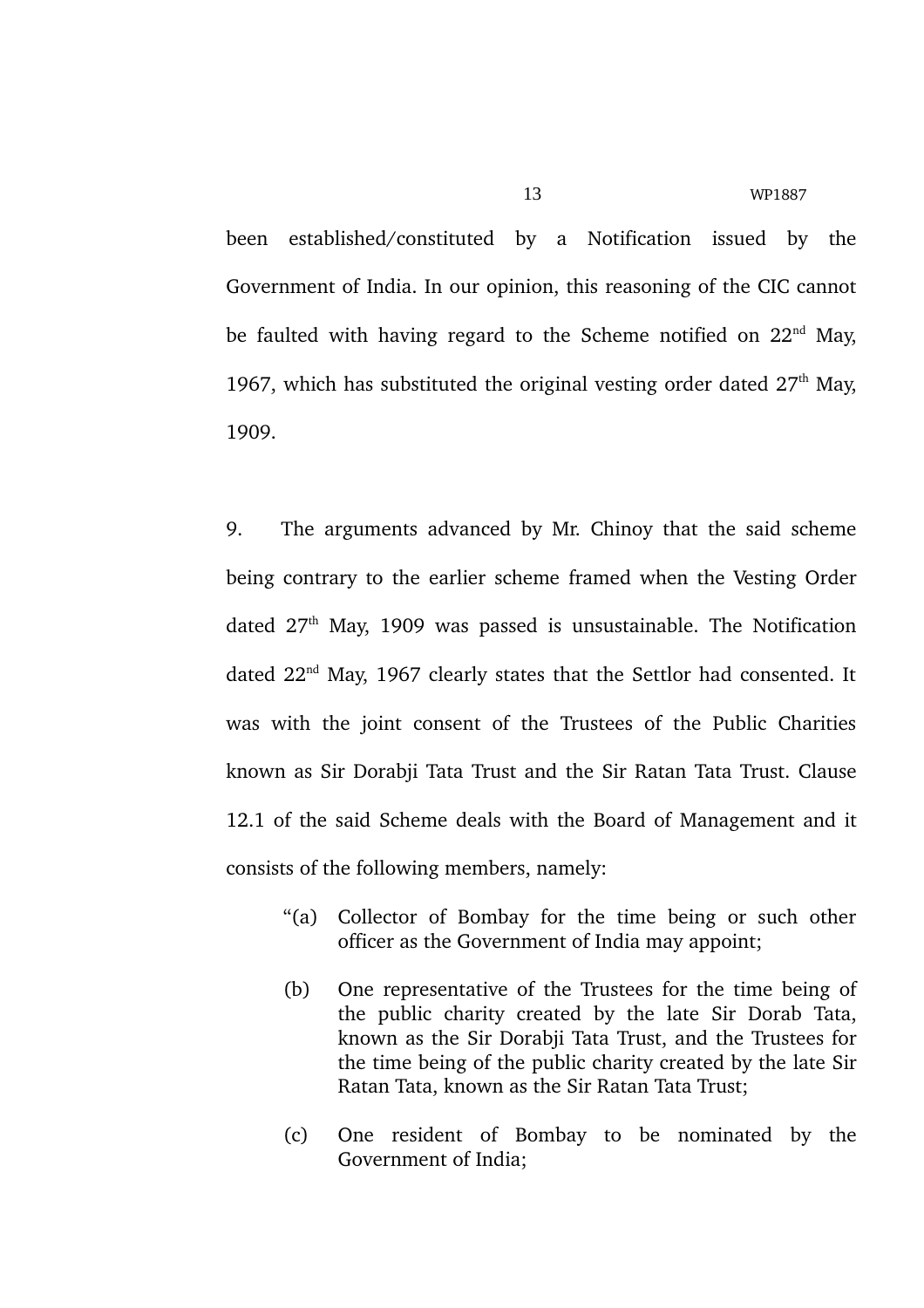been established/constituted by a Notification issued by the Government of India. In our opinion, this reasoning of the CIC cannot be faulted with having regard to the Scheme notified on  $22<sup>nd</sup>$  May, 1967, which has substituted the original vesting order dated  $27<sup>th</sup>$  May, 1909.

9. The arguments advanced by Mr. Chinoy that the said scheme being contrary to the earlier scheme framed when the Vesting Order dated  $27<sup>th</sup>$  May, 1909 was passed is unsustainable. The Notification dated 22<sup>nd</sup> May, 1967 clearly states that the Settlor had consented. It was with the joint consent of the Trustees of the Public Charities known as Sir Dorabji Tata Trust and the Sir Ratan Tata Trust. Clause 12.1 of the said Scheme deals with the Board of Management and it consists of the following members, namely:

- "(a) Collector of Bombay for the time being or such other officer as the Government of India may appoint;
- (b) One representative of the Trustees for the time being of the public charity created by the late Sir Dorab Tata, known as the Sir Dorabji Tata Trust, and the Trustees for the time being of the public charity created by the late Sir Ratan Tata, known as the Sir Ratan Tata Trust;
- (c) One resident of Bombay to be nominated by the Government of India;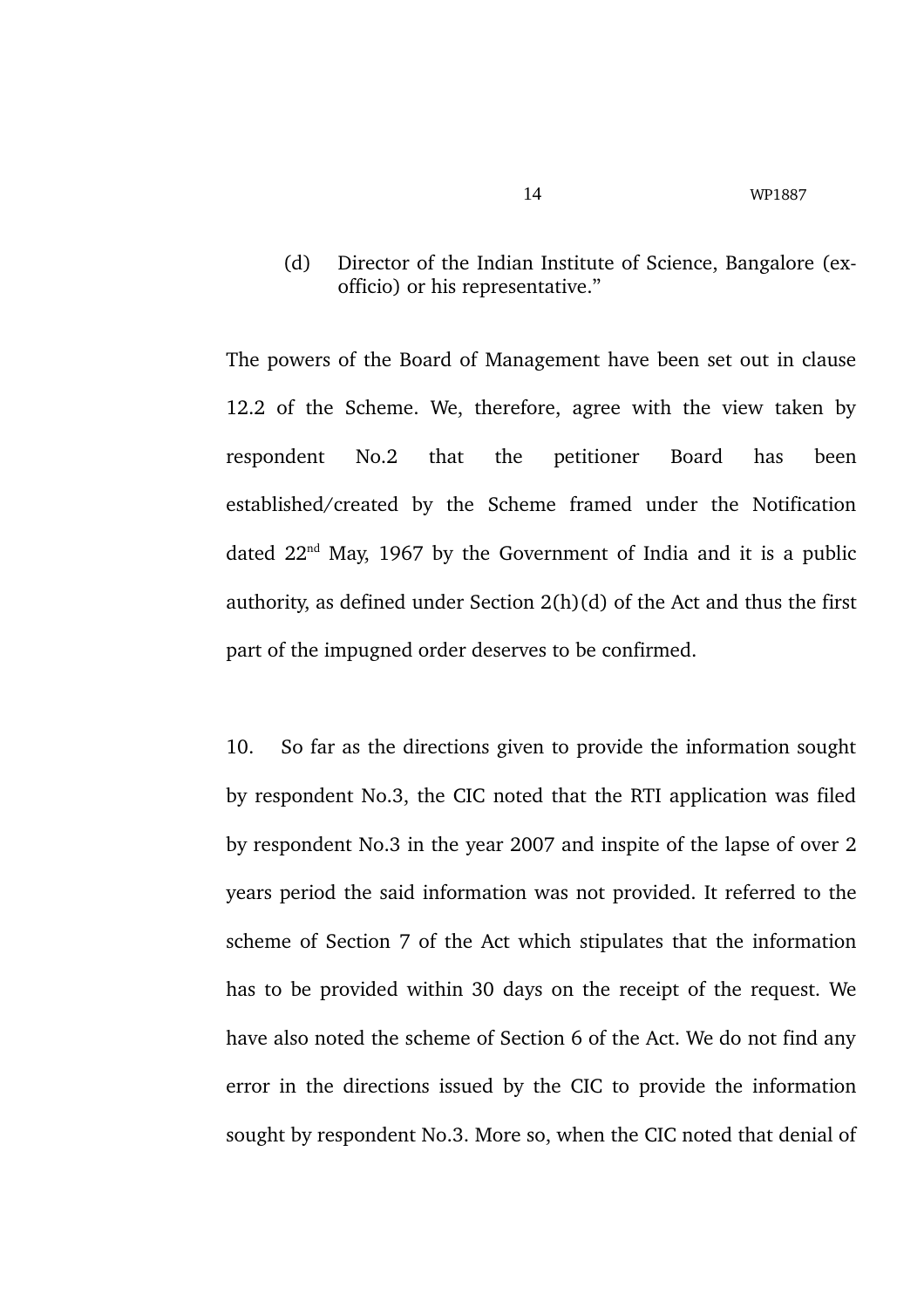(d) Director of the Indian Institute of Science, Bangalore (exofficio) or his representative."

The powers of the Board of Management have been set out in clause 12.2 of the Scheme. We, therefore, agree with the view taken by respondent No.2 that the petitioner Board has been established/created by the Scheme framed under the Notification dated  $22<sup>nd</sup>$  May, 1967 by the Government of India and it is a public authority, as defined under Section 2(h)(d) of the Act and thus the first part of the impugned order deserves to be confirmed.

10. So far as the directions given to provide the information sought by respondent No.3, the CIC noted that the RTI application was filed by respondent No.3 in the year 2007 and inspite of the lapse of over 2 years period the said information was not provided. It referred to the scheme of Section 7 of the Act which stipulates that the information has to be provided within 30 days on the receipt of the request. We have also noted the scheme of Section 6 of the Act. We do not find any error in the directions issued by the CIC to provide the information sought by respondent No.3. More so, when the CIC noted that denial of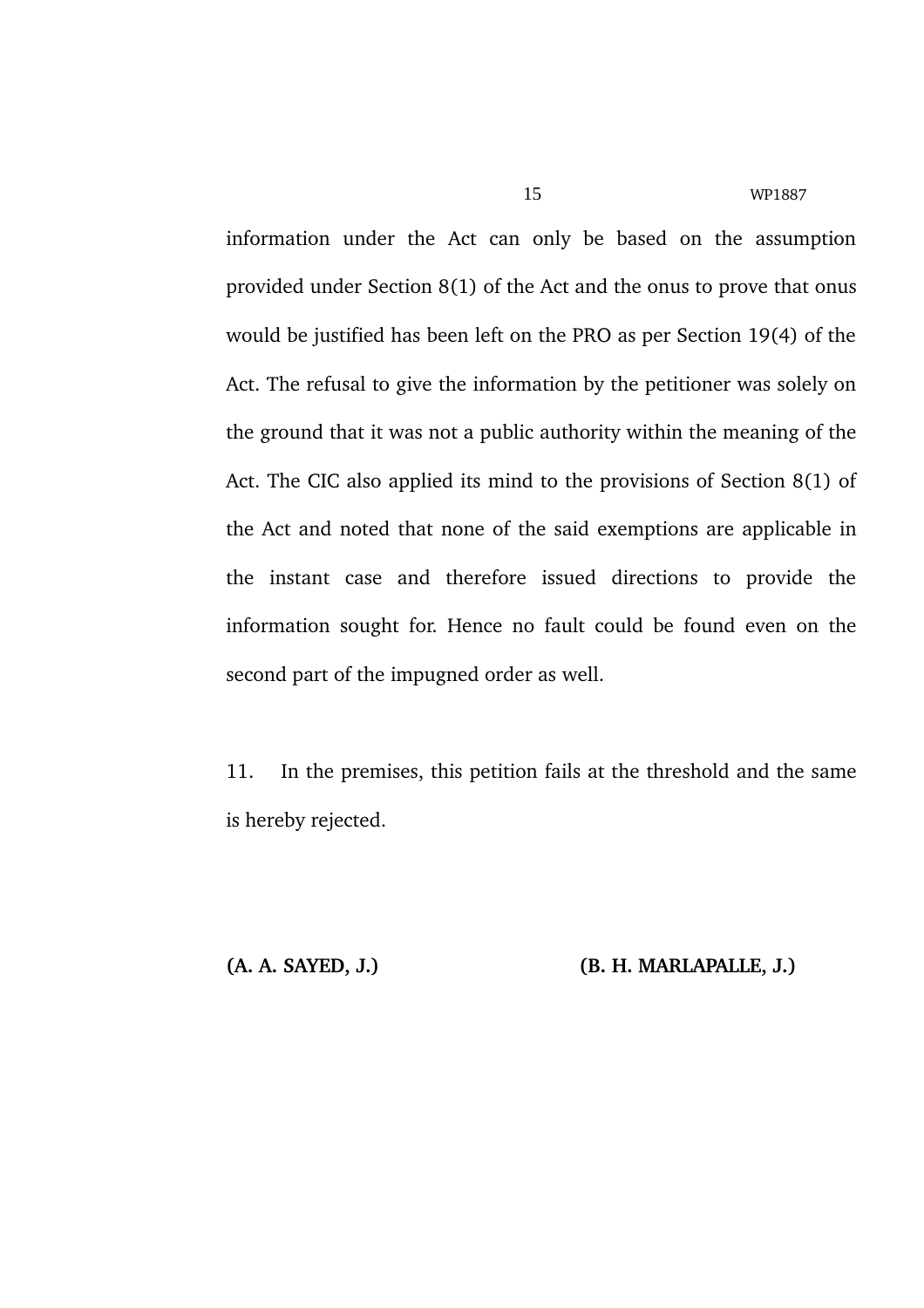information under the Act can only be based on the assumption provided under Section 8(1) of the Act and the onus to prove that onus would be justified has been left on the PRO as per Section 19(4) of the Act. The refusal to give the information by the petitioner was solely on the ground that it was not a public authority within the meaning of the Act. The CIC also applied its mind to the provisions of Section 8(1) of the Act and noted that none of the said exemptions are applicable in the instant case and therefore issued directions to provide the information sought for. Hence no fault could be found even on the second part of the impugned order as well.

11. In the premises, this petition fails at the threshold and the same is hereby rejected.

**(A. A. SAYED, J.) (B. H. MARLAPALLE, J.)**